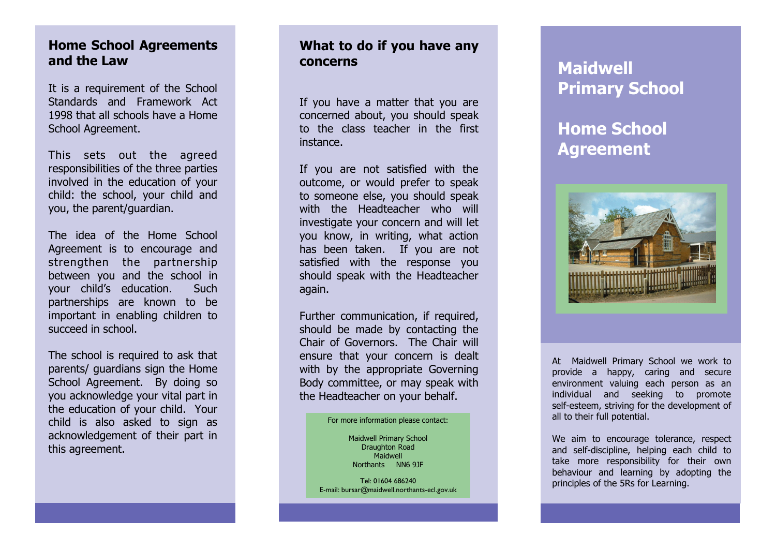## **Home School Agreements and the Law**

It is a requirement of the School Standards and Framework Act 1998 that all schools have a Home School Agreement.

This sets out the agreed responsibilities of the three parties involved in the education of your child: the school, your child and you, the parent/guardian.

The idea of the Home School Agreement is to encourage and strengthen the partnership between you and the school in your child's education. Such partnerships are known to be important in enabling children to succeed in school.

The school is required to ask that parents/ guardians sign the Home School Agreement. By doing so you acknowledge your vital part in the education of your child. Your child is also asked to sign as acknowledgement of their part in this agreement.

### **What to do if you have any concerns**

If you have a matter that you are concerned about, you should speak to the class teacher in the first instance.

If you are not satisfied with the outcome, or would prefer to speak to someone else, you should speak with the Headteacher who will investigate your concern and will let you know, in writing, what action has been taken. If you are not satisfied with the response you should speak with the Headteacher again.

Further communication, if required, should be made by contacting the Chair of Governors. The Chair will ensure that your concern is dealt with by the appropriate Governing Body committee, or may speak with the Headteacher on your behalf.

#### For more information please contact:

Maidwell Primary School Draughton Road Maidwell Northants NN6 9JF

Tel: 01604 686240 E -mail: bursar@maidwell.northants -ecl.gov.uk

# **Maidwell Primary School**

# **Home School Agreement**



At Maidwell Primary School we work to provide a happy, caring and secure environment valuing each person as an individual and seeking to promote self -esteem, striving for the development of all to their full potential.

We aim to encourage tolerance, respect and self -discipline, helping each child to take more responsibility for their own behaviour and learning by adopting the principles of the 5Rs for Learning.